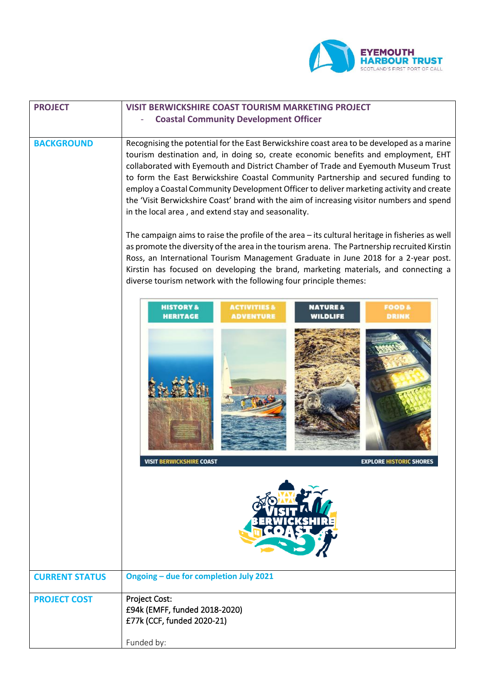

| <b>PROJECT</b>        | <b>VISIT BERWICKSHIRE COAST TOURISM MARKETING PROJECT</b>                                                                                                                                                                                                                                                                                                                                                                                                                                                                                                                                                                                                                                                                                                                                                      |
|-----------------------|----------------------------------------------------------------------------------------------------------------------------------------------------------------------------------------------------------------------------------------------------------------------------------------------------------------------------------------------------------------------------------------------------------------------------------------------------------------------------------------------------------------------------------------------------------------------------------------------------------------------------------------------------------------------------------------------------------------------------------------------------------------------------------------------------------------|
|                       | <b>Coastal Community Development Officer</b>                                                                                                                                                                                                                                                                                                                                                                                                                                                                                                                                                                                                                                                                                                                                                                   |
|                       |                                                                                                                                                                                                                                                                                                                                                                                                                                                                                                                                                                                                                                                                                                                                                                                                                |
| <b>BACKGROUND</b>     | Recognising the potential for the East Berwickshire coast area to be developed as a marine<br>tourism destination and, in doing so, create economic benefits and employment, EHT<br>collaborated with Eyemouth and District Chamber of Trade and Eyemouth Museum Trust<br>to form the East Berwickshire Coastal Community Partnership and secured funding to<br>employ a Coastal Community Development Officer to deliver marketing activity and create<br>the 'Visit Berwickshire Coast' brand with the aim of increasing visitor numbers and spend<br>in the local area, and extend stay and seasonality.<br>The campaign aims to raise the profile of the area - its cultural heritage in fisheries as well<br>as promote the diversity of the area in the tourism arena. The Partnership recruited Kirstin |
|                       | Ross, an International Tourism Management Graduate in June 2018 for a 2-year post.                                                                                                                                                                                                                                                                                                                                                                                                                                                                                                                                                                                                                                                                                                                             |
|                       | Kirstin has focused on developing the brand, marketing materials, and connecting a                                                                                                                                                                                                                                                                                                                                                                                                                                                                                                                                                                                                                                                                                                                             |
|                       | diverse tourism network with the following four principle themes:                                                                                                                                                                                                                                                                                                                                                                                                                                                                                                                                                                                                                                                                                                                                              |
|                       | <b>ACTIVITIES &amp;</b><br><b>HISTORY &amp;</b><br><b>FOOD &amp;</b><br><b>NATURE &amp;</b><br><b>ADVENTURE</b><br><b>HERITAGE</b><br><b>DRINK</b><br>WILDLIFE<br><b>VISIT BERWICKSHIRE COAST</b><br><b>EXPLORE HISTORIC SHORES</b>                                                                                                                                                                                                                                                                                                                                                                                                                                                                                                                                                                            |
|                       |                                                                                                                                                                                                                                                                                                                                                                                                                                                                                                                                                                                                                                                                                                                                                                                                                |
| <b>CURRENT STATUS</b> | Ongoing - due for completion July 2021                                                                                                                                                                                                                                                                                                                                                                                                                                                                                                                                                                                                                                                                                                                                                                         |
| <b>PROJECT COST</b>   | Project Cost:                                                                                                                                                                                                                                                                                                                                                                                                                                                                                                                                                                                                                                                                                                                                                                                                  |
|                       | £94k (EMFF, funded 2018-2020)                                                                                                                                                                                                                                                                                                                                                                                                                                                                                                                                                                                                                                                                                                                                                                                  |
|                       | £77k (CCF, funded 2020-21)                                                                                                                                                                                                                                                                                                                                                                                                                                                                                                                                                                                                                                                                                                                                                                                     |
|                       | Funded by:                                                                                                                                                                                                                                                                                                                                                                                                                                                                                                                                                                                                                                                                                                                                                                                                     |